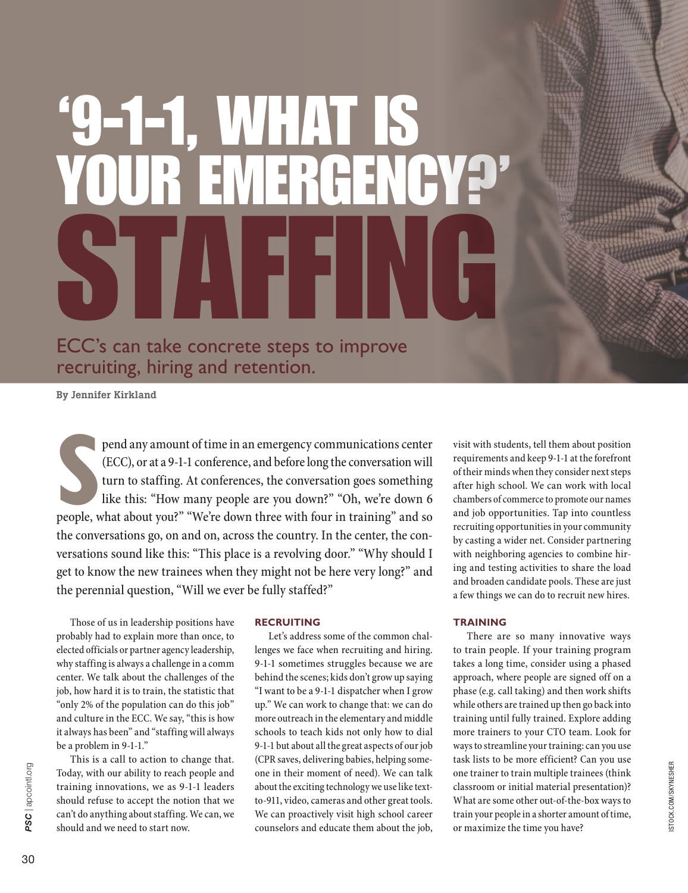# '9-1-1, WHAT IS YOUR EMERGENCY?' STAFFING ECC's can take concrete steps to improve

recruiting, hiring and retention.

By Jennifer Kirkland

pend any amount of time in an emergency communications center (ECC), or at a 9-1-1 conference, and before long the conversation will turn to staffing. At conferences, the conversation goes something like this: "How many pe pend any amount of time in an emergency communications center (ECC), or at a 9-1-1 conference, and before long the conversation will turn to staffing. At conferences, the conversation goes something like this: "How many people are you down?" "Oh, we're down 6 the conversations go, on and on, across the country. In the center, the conversations sound like this: "This place is a revolving door." "Why should I get to know the new trainees when they might not be here very long?" and the perennial question, "Will we ever be fully staffed?"

Those of us in leadership positions have probably had to explain more than once, to elected officials or partner agency leadership, why staffing is always a challenge in a comm center. We talk about the challenges of the job, how hard it is to train, the statistic that "only 2% of the population can do this job" and culture in the ECC. We say, "this is how it always has been" and "staffing will always be a problem in 9-1-1."

This is a call to action to change that. Today, with our ability to reach people and training innovations, we as 9-1-1 leaders should refuse to accept the notion that we can't do anything about staffing. We can, we should and we need to start now.

# **RECRUITING**

Let's address some of the common challenges we face when recruiting and hiring. 9-1-1 sometimes struggles because we are behind the scenes; kids don't grow up saying "I want to be a 9-1-1 dispatcher when I grow up." We can work to change that: we can do more outreach in the elementary and middle schools to teach kids not only how to dial 9-1-1 but about all the great aspects of our job (CPR saves, delivering babies, helping someone in their moment of need). We can talk about the exciting technology we use like textto-911, video, cameras and other great tools. We can proactively visit high school career counselors and educate them about the job, visit with students, tell them about position requirements and keep 9-1-1 at the forefront of their minds when they consider next steps after high school. We can work with local chambers of commerce to promote our names and job opportunities. Tap into countless recruiting opportunities in your community by casting a wider net. Consider partnering with neighboring agencies to combine hiring and testing activities to share the load and broaden candidate pools. These are just a few things we can do to recruit new hires.

## **TRAINING**

There are so many innovative ways to train people. If your training program takes a long time, consider using a phased approach, where people are signed off on a phase (e.g. call taking) and then work shifts while others are trained up then go back into training until fully trained. Explore adding more trainers to your CTO team. Look for ways to streamline your training: can you use task lists to be more efficient? Can you use one trainer to train multiple trainees (think classroom or initial material presentation)? What are some other out-of-the-box ways to train your people in a shorter amount of time, or maximize the time you have?

PSC | apcointl.org